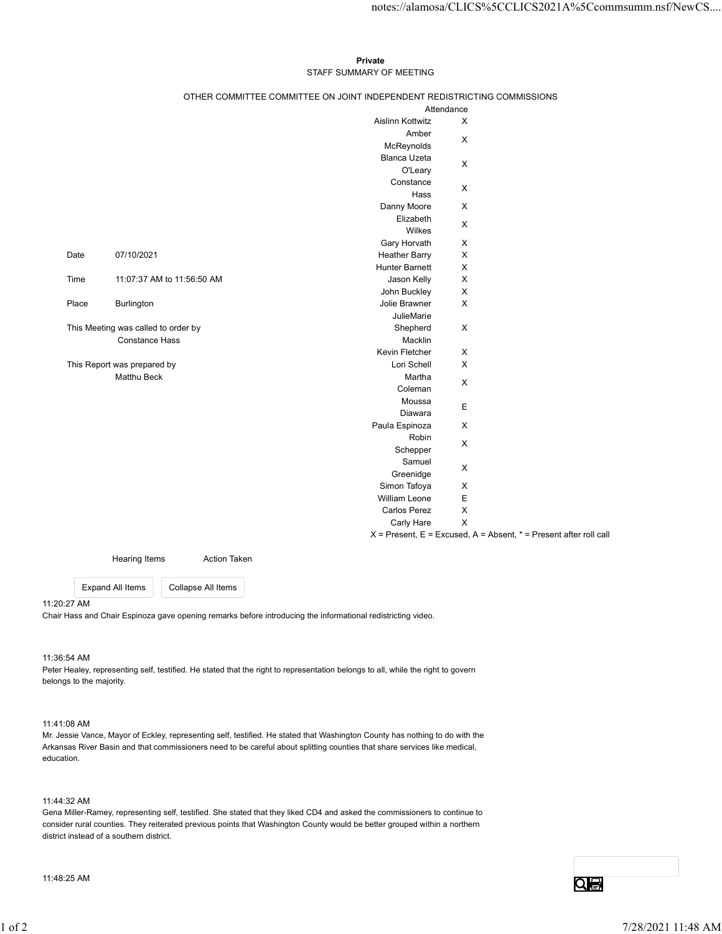## Private **Private** and *Private* and *Private* and *Private* and *Private* and *Private* and *Private* and *Private* and *Private* and *Private* and *Private* and *Private* and *Private* and *Private* and *Private* and *Pri* STAFF SUMMARY OF MEETING

|       |                                     |                            |                                                                          |                                          | notes://alamosa/CLICS%5CCLICS2021A%5Ccommsumm.nsf/NewCS                   |
|-------|-------------------------------------|----------------------------|--------------------------------------------------------------------------|------------------------------------------|---------------------------------------------------------------------------|
|       |                                     |                            |                                                                          |                                          |                                                                           |
|       |                                     |                            | Private                                                                  |                                          |                                                                           |
|       |                                     |                            | STAFF SUMMARY OF MEETING                                                 |                                          |                                                                           |
|       |                                     |                            | OTHER COMMITTEE COMMITTEE ON JOINT INDEPENDENT REDISTRICTING COMMISSIONS |                                          |                                                                           |
|       |                                     |                            | Attendance<br>Aislinn Kottwitz                                           | $\boldsymbol{\mathsf{X}}$                |                                                                           |
|       |                                     |                            | Amber                                                                    |                                          |                                                                           |
|       |                                     |                            | McReynolds                                                               | X                                        |                                                                           |
|       |                                     |                            | Blanca Uzeta                                                             | $\mathsf X$                              |                                                                           |
|       |                                     |                            | O'Leary                                                                  |                                          |                                                                           |
|       |                                     |                            | Constance<br>Hass                                                        | $\mathsf X$                              |                                                                           |
|       |                                     |                            | Danny Moore                                                              | $\mathsf{X}$                             |                                                                           |
|       |                                     |                            | Elizabeth                                                                | $\boldsymbol{\mathsf{X}}$                |                                                                           |
|       |                                     |                            | Wilkes                                                                   |                                          |                                                                           |
| Date  | 07/10/2021                          |                            | Gary Horvath<br><b>Heather Barry</b>                                     | $\mathsf{X}$<br>X                        |                                                                           |
|       |                                     |                            | Hunter Barnett                                                           | $\mathsf{X}$                             |                                                                           |
| Time  |                                     | 11:07:37 AM to 11:56:50 AM | Jason Kelly                                                              | X                                        |                                                                           |
|       |                                     |                            | John Buckley                                                             | X                                        |                                                                           |
| Place | Burlington                          |                            | Jolie Brawner                                                            | X                                        |                                                                           |
|       | This Meeting was called to order by |                            | JulieMarie<br>Shepherd                                                   | $\mathsf X$                              |                                                                           |
|       | <b>Constance Hass</b>               |                            | Macklin                                                                  |                                          |                                                                           |
|       |                                     |                            | Kevin Fletcher                                                           | $\mathsf{X}$                             |                                                                           |
|       | This Report was prepared by         |                            | Lori Schell                                                              | $\mathsf X$                              |                                                                           |
|       | Matthu Beck                         |                            | Martha<br>Coleman                                                        | $\mathsf X$                              |                                                                           |
|       |                                     |                            | Moussa                                                                   |                                          |                                                                           |
|       |                                     |                            | Diawara                                                                  | $\mathsf E$                              |                                                                           |
|       |                                     |                            | Paula Espinoza                                                           | $\mathsf X$                              |                                                                           |
|       |                                     |                            | Robin<br>Schepper                                                        | $\boldsymbol{\mathsf{X}}$                |                                                                           |
|       |                                     |                            | Samuel                                                                   |                                          |                                                                           |
|       |                                     |                            | Greenidge                                                                | $\mathsf X$                              |                                                                           |
|       |                                     |                            | Simon Tafoya                                                             | X                                        |                                                                           |
|       |                                     |                            | William Leone<br>Carlos Perez                                            | $\mathsf E$<br>$\boldsymbol{\mathsf{X}}$ |                                                                           |
|       |                                     |                            | Carly Hare                                                               | $\mathsf X$                              |                                                                           |
|       |                                     |                            |                                                                          |                                          | $X =$ Present, $E =$ Excused, $A =$ Absent, $* =$ Present after roll call |
|       | Hearing Items                       | <b>Action Taken</b>        |                                                                          |                                          |                                                                           |
|       | <b>Expand All Items</b>             | Collapse All Items         |                                                                          |                                          |                                                                           |
|       |                                     |                            |                                                                          |                                          |                                                                           |

### 11:20:27 AM

Chair Hass and Chair Espinoza gave opening remarks before introducing the informational redistricting video.

# 11:36:54 AM

Peter Healey, representing self, testified. He stated that the right to representation belongs to all, while the right to govern belongs to the majority.

# 11:41:08 AM

Mr. Jessie Vance, Mayor of Eckley, representing self, testified. He stated that Washington County has nothing to do with the Arkansas River Basin and that commissioners need to be careful about splitting counties that share services like medical, education.

# 11:44:32 AM

Gena Miller-Ramey, representing self, testified. She stated that they liked CD4 and asked the commissioners to continue to consider rural counties. They reiterated previous points that Washington County would be better grouped within a northern district instead of a southern district. 11:36:54 AM<br>Peter Healey, representing eef, testified. He stated that the right to representation belongs to all, while the right to govern<br>belongs to the regions,<br>the changes when experimentally approach that the state of

11:48:25 AM